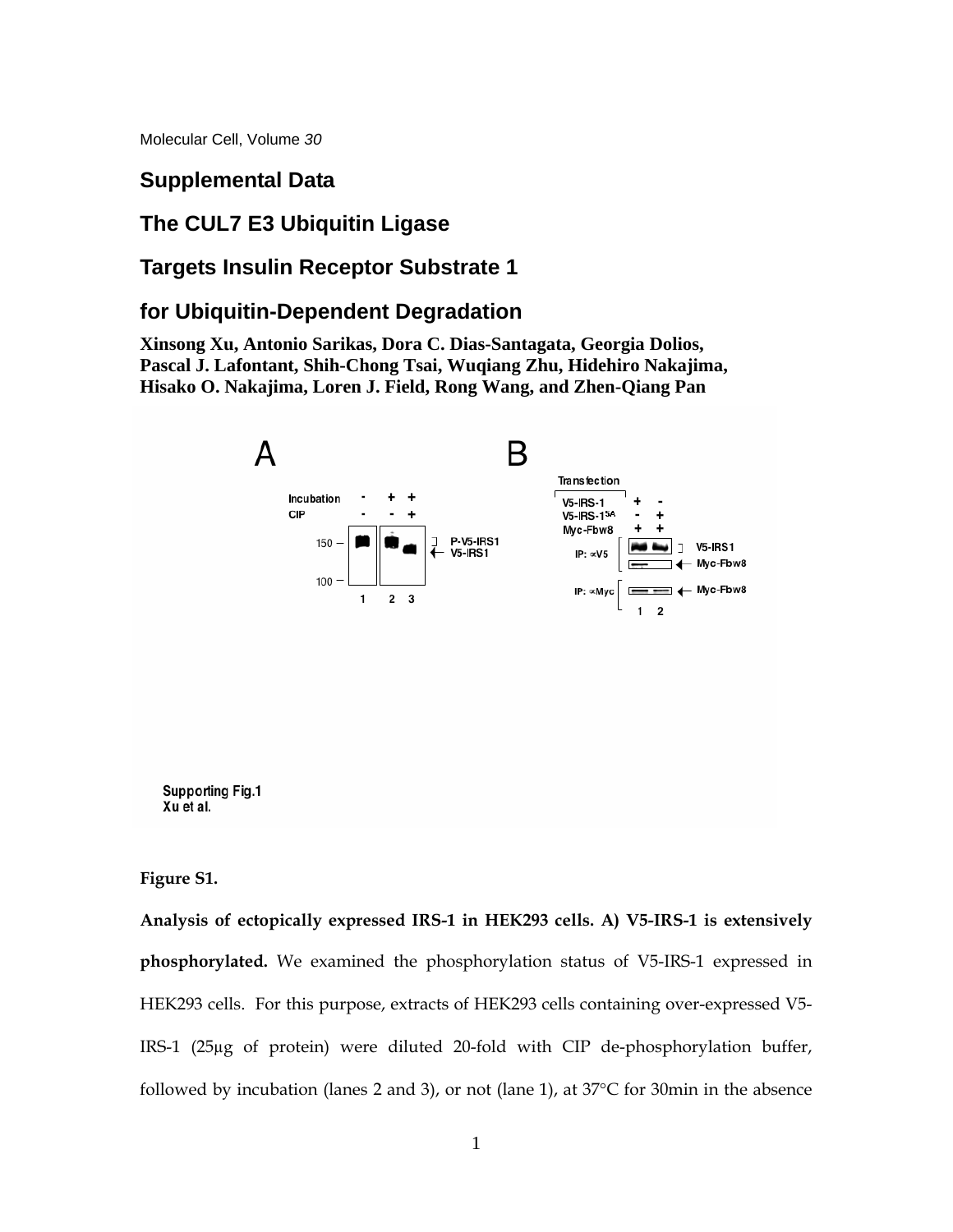Molecular Cell, Volume *30*

## **Supplemental Data**

# **The CUL7 E3 Ubiquitin Ligase**

# **Targets Insulin Receptor Substrate 1**

# **for Ubiquitin-Dependent Degradation**

**Xinsong Xu, Antonio Sarikas, Dora C. Dias-Santagata, Georgia Dolios, Pascal J. Lafontant, Shih-Chong Tsai, Wuqiang Zhu, Hidehiro Nakajima, Hisako O. Nakajima, Loren J. Field, Rong Wang, and Zhen-Qiang Pan** 



**Figure S1.** 

**Analysis of ectopically expressed IRS-1 in HEK293 cells. A) V5-IRS-1 is extensively phosphorylated.** We examined the phosphorylation status of V5-IRS-1 expressed in HEK293 cells. For this purpose, extracts of HEK293 cells containing over-expressed V5- IRS-1 (25µg of protein) were diluted 20-fold with CIP de-phosphorylation buffer, followed by incubation (lanes 2 and 3), or not (lane 1), at 37°C for 30min in the absence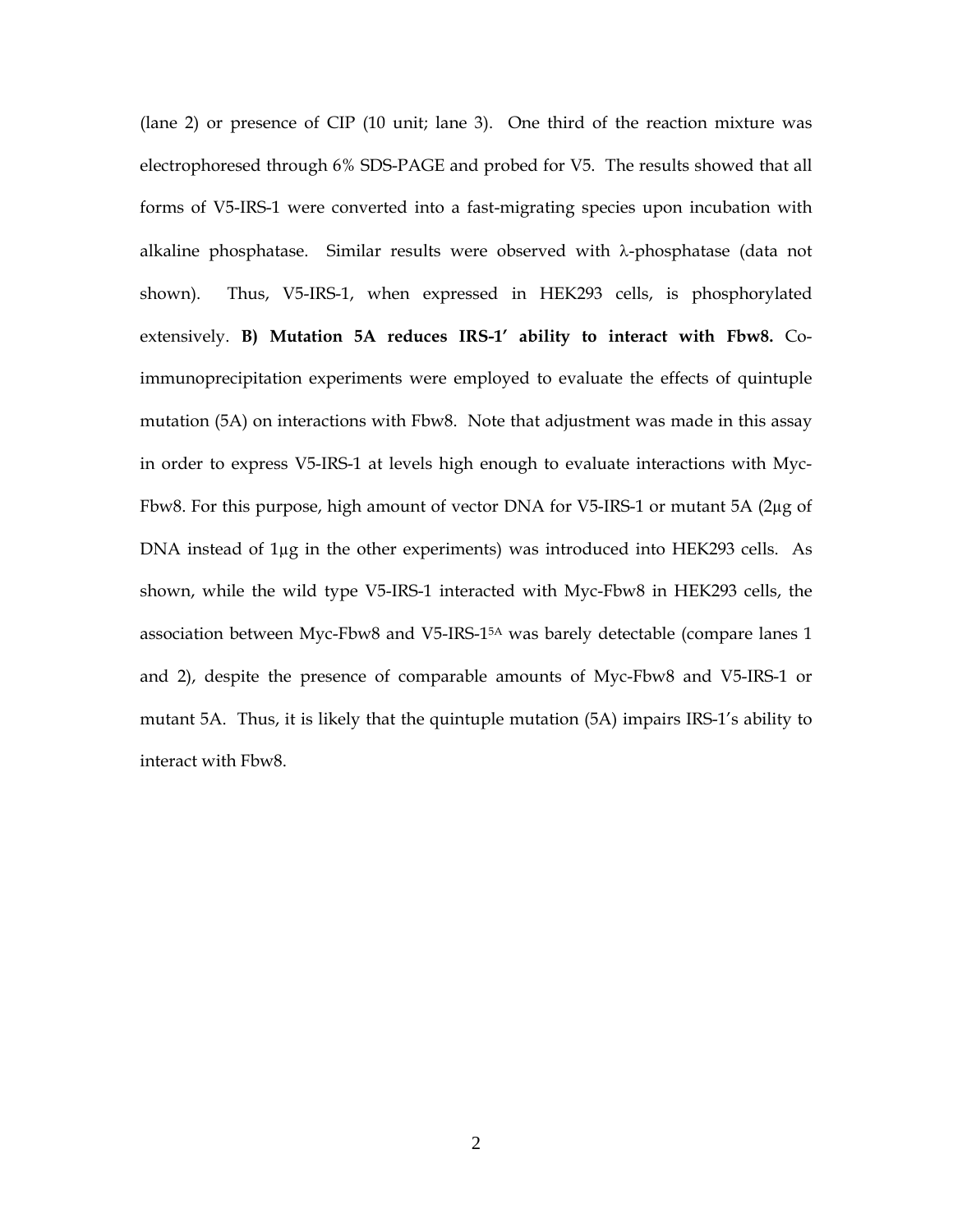(lane 2) or presence of CIP (10 unit; lane 3). One third of the reaction mixture was electrophoresed through 6% SDS-PAGE and probed for V5. The results showed that all forms of V5-IRS-1 were converted into a fast-migrating species upon incubation with alkaline phosphatase. Similar results were observed with λ-phosphatase (data not shown). Thus, V5-IRS-1, when expressed in HEK293 cells, is phosphorylated extensively. **B) Mutation 5A reduces IRS-1' ability to interact with Fbw8.** Coimmunoprecipitation experiments were employed to evaluate the effects of quintuple mutation (5A) on interactions with Fbw8. Note that adjustment was made in this assay in order to express V5-IRS-1 at levels high enough to evaluate interactions with Myc-Fbw8. For this purpose, high amount of vector DNA for V5-IRS-1 or mutant 5A (2µg of DNA instead of 1µg in the other experiments) was introduced into HEK293 cells. As shown, while the wild type V5-IRS-1 interacted with Myc-Fbw8 in HEK293 cells, the association between Myc-Fbw8 and V5-IRS-15A was barely detectable (compare lanes 1 and 2), despite the presence of comparable amounts of Myc-Fbw8 and V5-IRS-1 or mutant 5A. Thus, it is likely that the quintuple mutation (5A) impairs IRS-1's ability to interact with Fbw8.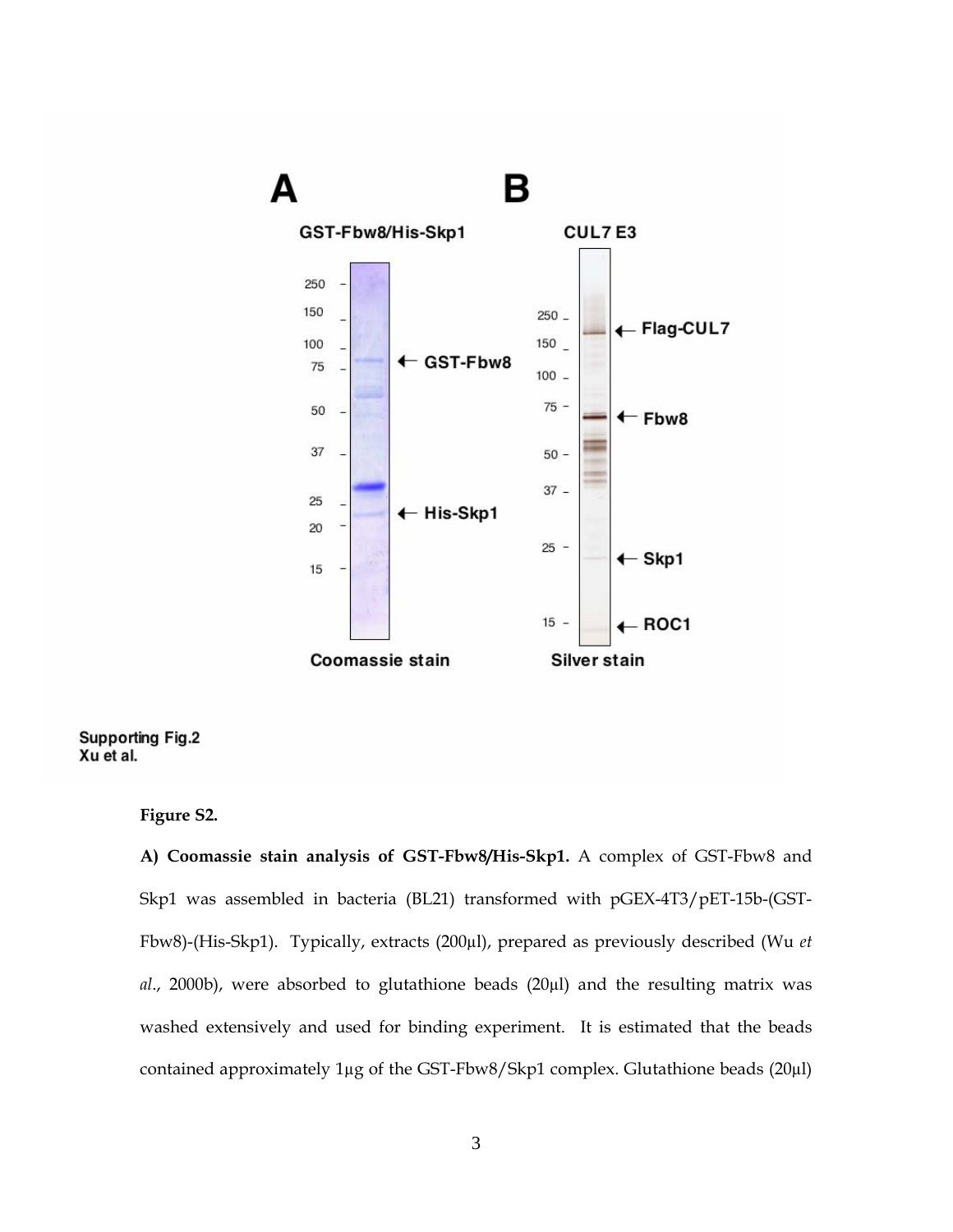

#### **Supporting Fig.2** Xu et al.

### **Figure S2.**

**A) Coomassie stain analysis of GST-Fbw8/His-Skp1.** A complex of GST-Fbw8 and Skp1 was assembled in bacteria (BL21) transformed with pGEX-4T3/pET-15b-(GST-Fbw8)-(His-Skp1). Typically, extracts (200µl), prepared as previously described (Wu *et al*., 2000b), were absorbed to glutathione beads (20µl) and the resulting matrix was washed extensively and used for binding experiment. It is estimated that the beads contained approximately 1µg of the GST-Fbw8/Skp1 complex. Glutathione beads (20µl)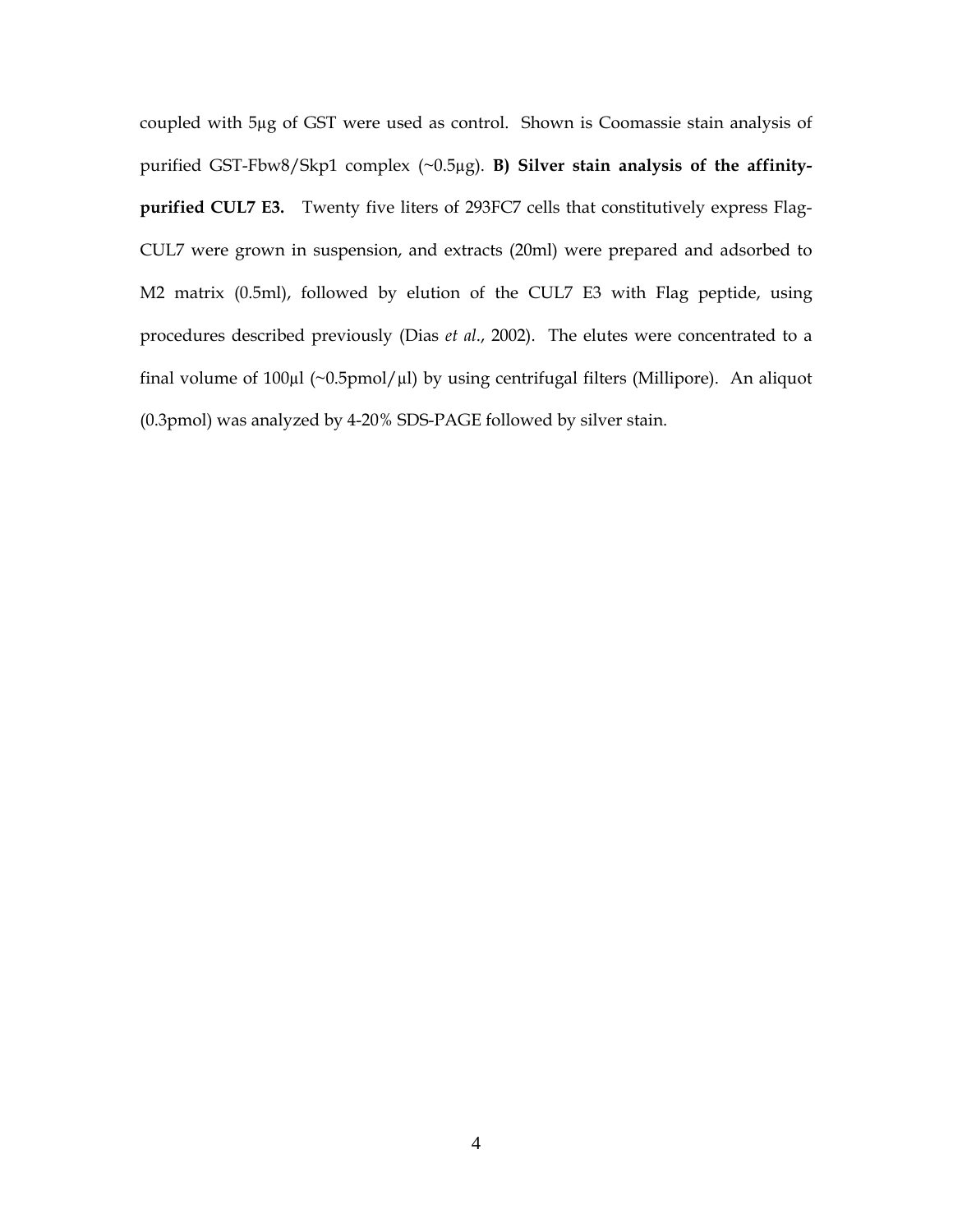coupled with 5µg of GST were used as control. Shown is Coomassie stain analysis of purified GST-Fbw8/Skp1 complex (~0.5µg). **B) Silver stain analysis of the affinitypurified CUL7 E3.** Twenty five liters of 293FC7 cells that constitutively express Flag-CUL7 were grown in suspension, and extracts (20ml) were prepared and adsorbed to M2 matrix (0.5ml), followed by elution of the CUL7 E3 with Flag peptide, using procedures described previously (Dias *et al*., 2002). The elutes were concentrated to a final volume of  $100\mu$ l (~0.5pmol/ $\mu$ l) by using centrifugal filters (Millipore). An aliquot (0.3pmol) was analyzed by 4-20% SDS-PAGE followed by silver stain.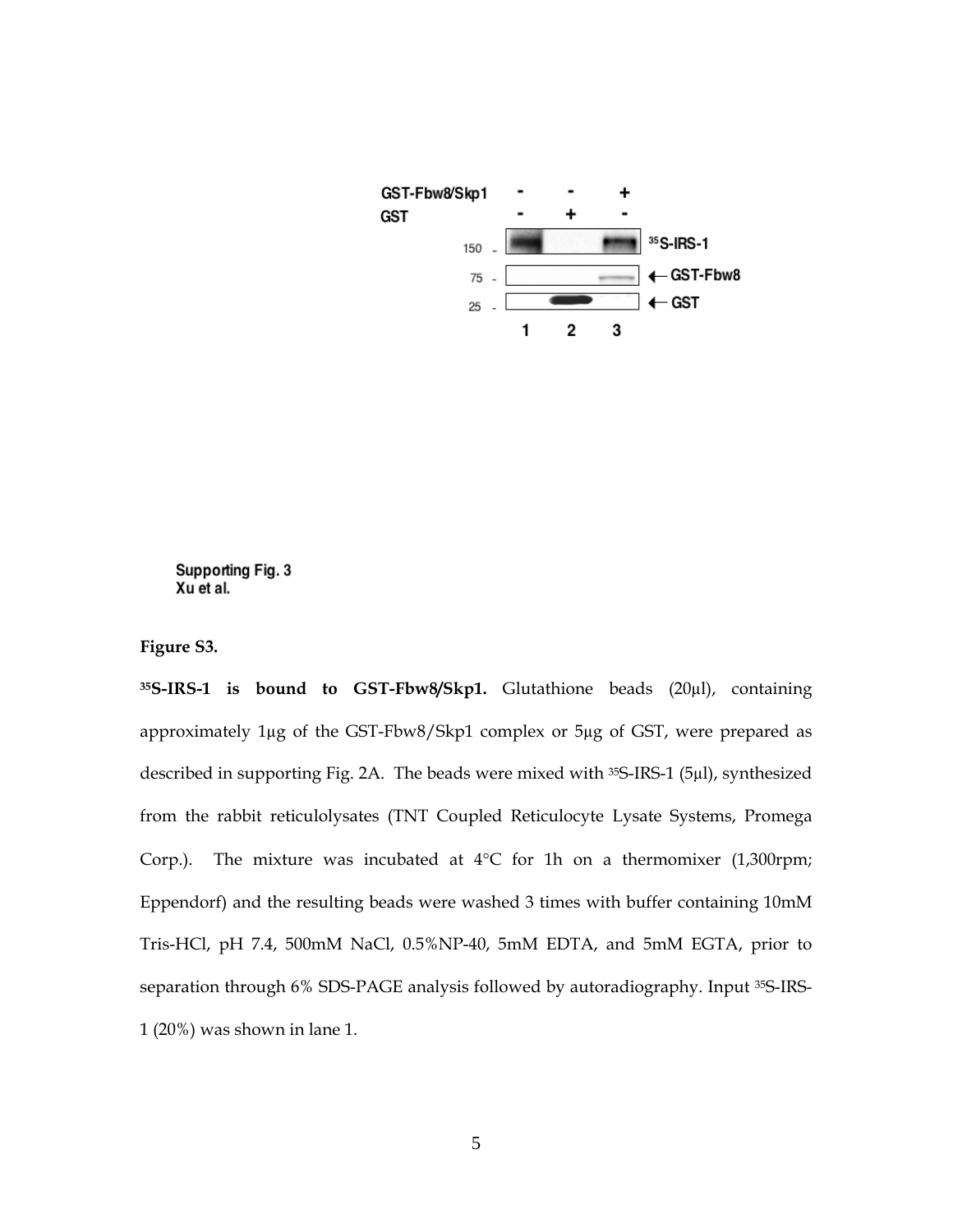

#### Supporting Fig. 3 Xu et al.

**Figure S3.** 

**35S-IRS-1 is bound to GST-Fbw8/Skp1.** Glutathione beads (20µl), containing approximately 1µg of the GST-Fbw8/Skp1 complex or 5µg of GST, were prepared as described in supporting Fig. 2A. The beads were mixed with 35S-IRS-1 (5µl), synthesized from the rabbit reticulolysates (TNT Coupled Reticulocyte Lysate Systems, Promega Corp.). The mixture was incubated at  $4^{\circ}$ C for 1h on a thermomixer (1,300rpm; Eppendorf) and the resulting beads were washed 3 times with buffer containing 10mM Tris-HCl, pH 7.4, 500mM NaCl, 0.5%NP-40, 5mM EDTA, and 5mM EGTA, prior to separation through 6% SDS-PAGE analysis followed by autoradiography. Input 35S-IRS-1 (20%) was shown in lane 1.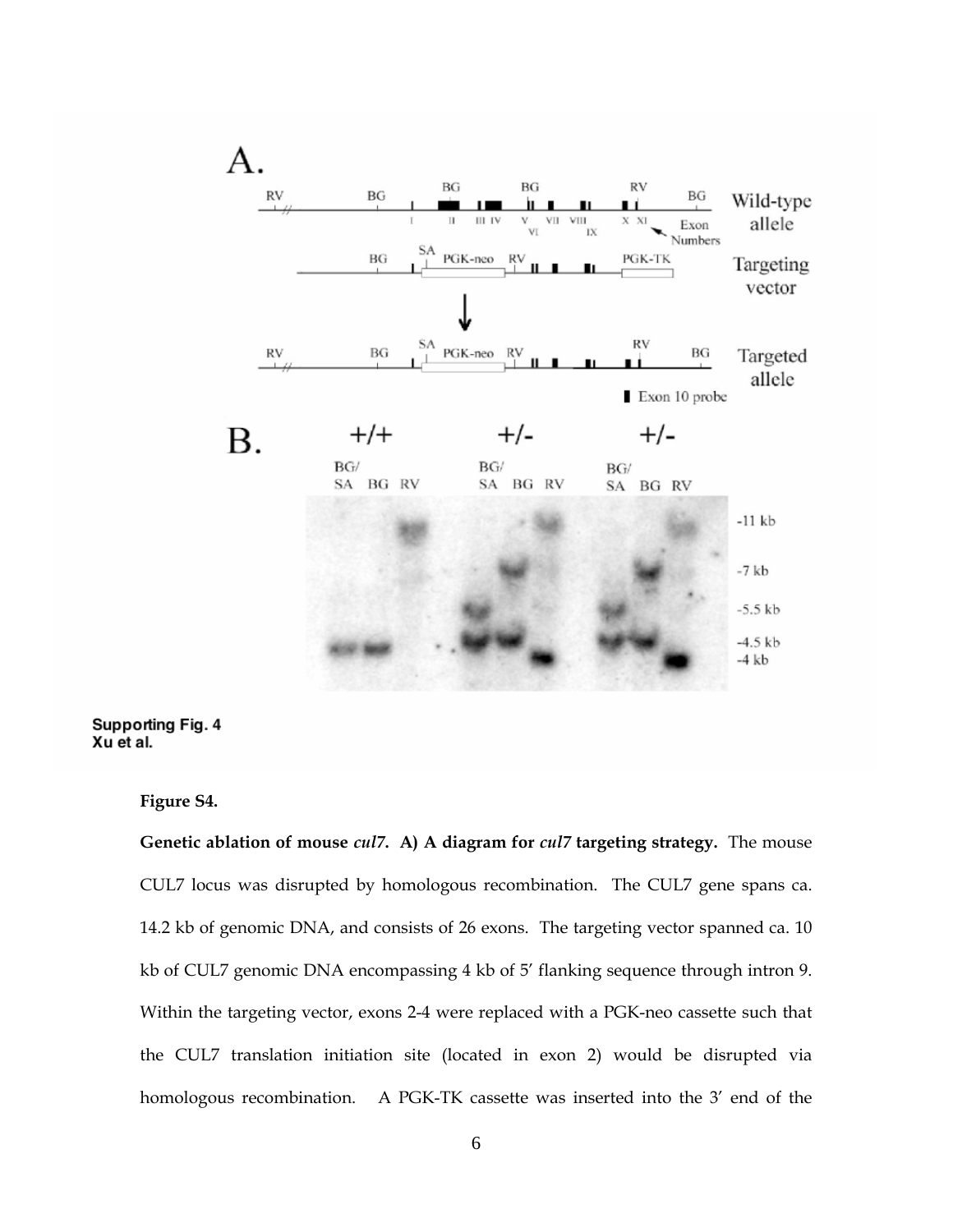

**Supporting Fig. 4** Xu et al.

**Figure S4.** 

**Genetic ablation of mouse** *cul7***. A) A diagram for** *cul7* **targeting strategy.** The mouse CUL7 locus was disrupted by homologous recombination. The CUL7 gene spans ca. 14.2 kb of genomic DNA, and consists of 26 exons. The targeting vector spanned ca. 10 kb of CUL7 genomic DNA encompassing 4 kb of 5' flanking sequence through intron 9. Within the targeting vector, exons 2-4 were replaced with a PGK-neo cassette such that the CUL7 translation initiation site (located in exon 2) would be disrupted via homologous recombination. A PGK-TK cassette was inserted into the 3' end of the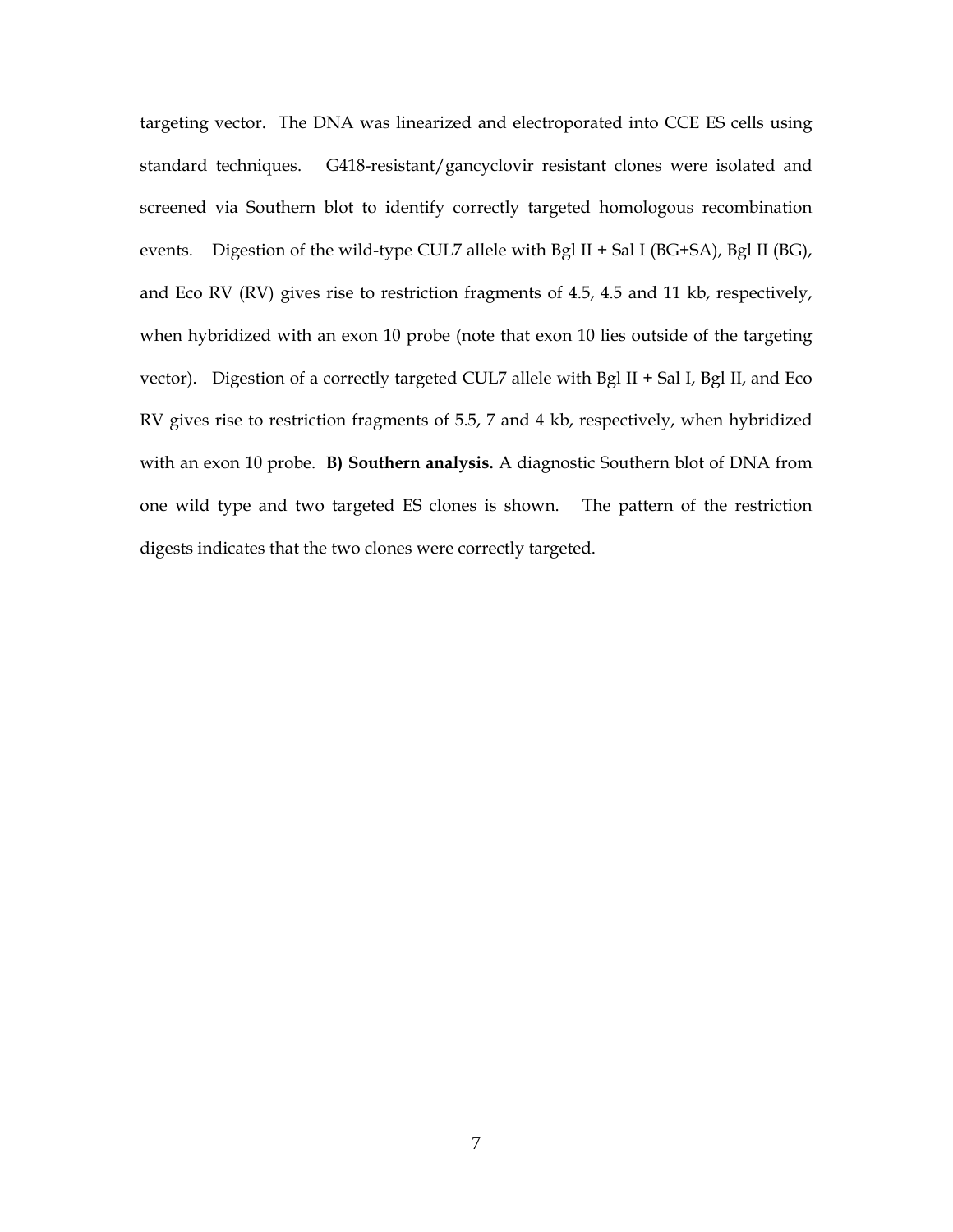targeting vector. The DNA was linearized and electroporated into CCE ES cells using standard techniques. G418-resistant/gancyclovir resistant clones were isolated and screened via Southern blot to identify correctly targeted homologous recombination events. Digestion of the wild-type CUL7 allele with Bgl II + Sal I (BG+SA), Bgl II (BG), and Eco RV (RV) gives rise to restriction fragments of 4.5, 4.5 and 11 kb, respectively, when hybridized with an exon 10 probe (note that exon 10 lies outside of the targeting vector). Digestion of a correctly targeted CUL7 allele with Bgl II + Sal I, Bgl II, and Eco RV gives rise to restriction fragments of 5.5, 7 and 4 kb, respectively, when hybridized with an exon 10 probe. **B) Southern analysis.** A diagnostic Southern blot of DNA from one wild type and two targeted ES clones is shown. The pattern of the restriction digests indicates that the two clones were correctly targeted.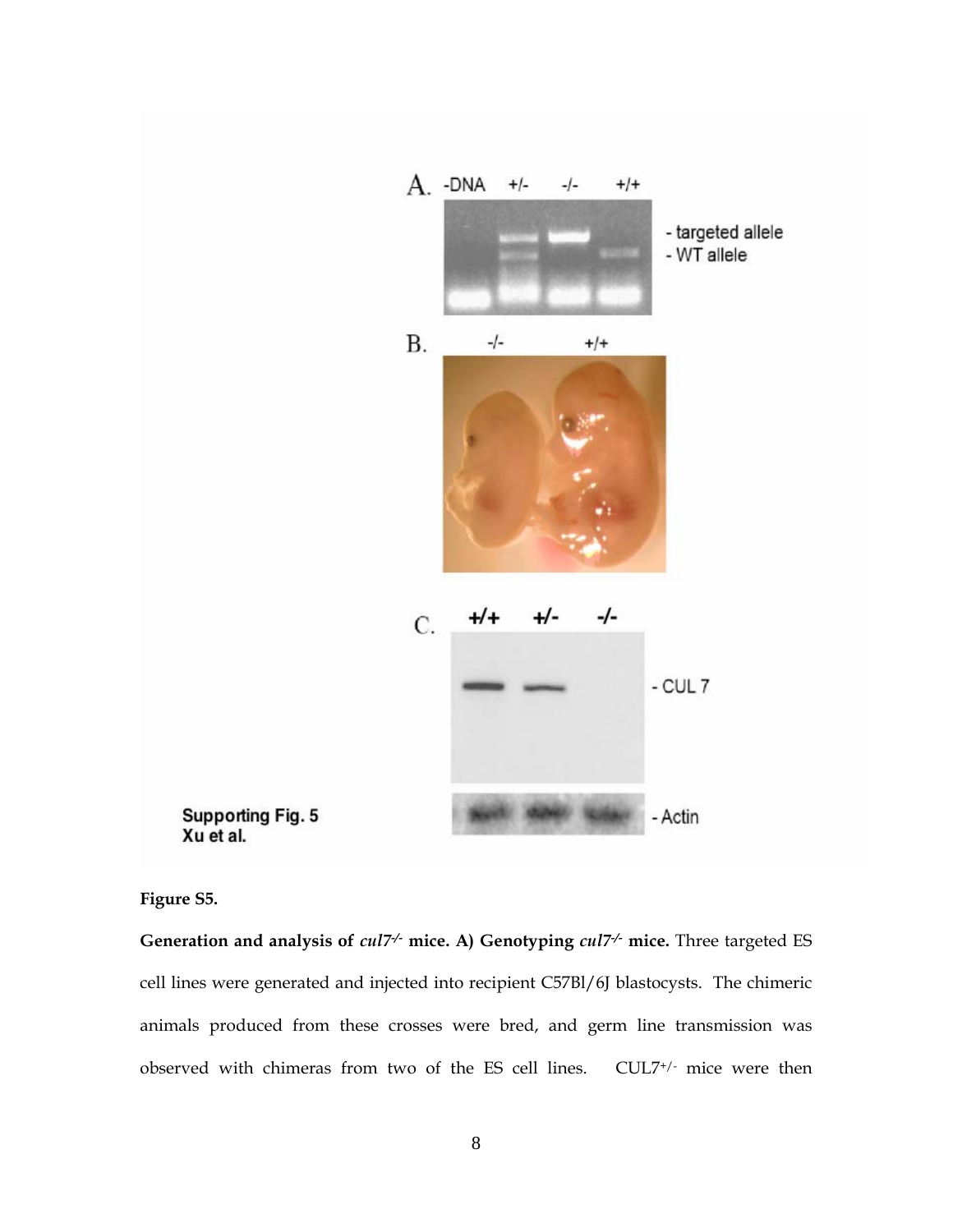

Supporting Fig. 5<br>Xu et al.

**Figure S5.** 

**Generation and analysis of** *cul7-/-* **mice. A) Genotyping** *cul7-/-* **mice.** Three targeted ES cell lines were generated and injected into recipient C57Bl/6J blastocysts. The chimeric animals produced from these crosses were bred, and germ line transmission was observed with chimeras from two of the ES cell lines. CUL7+/- mice were then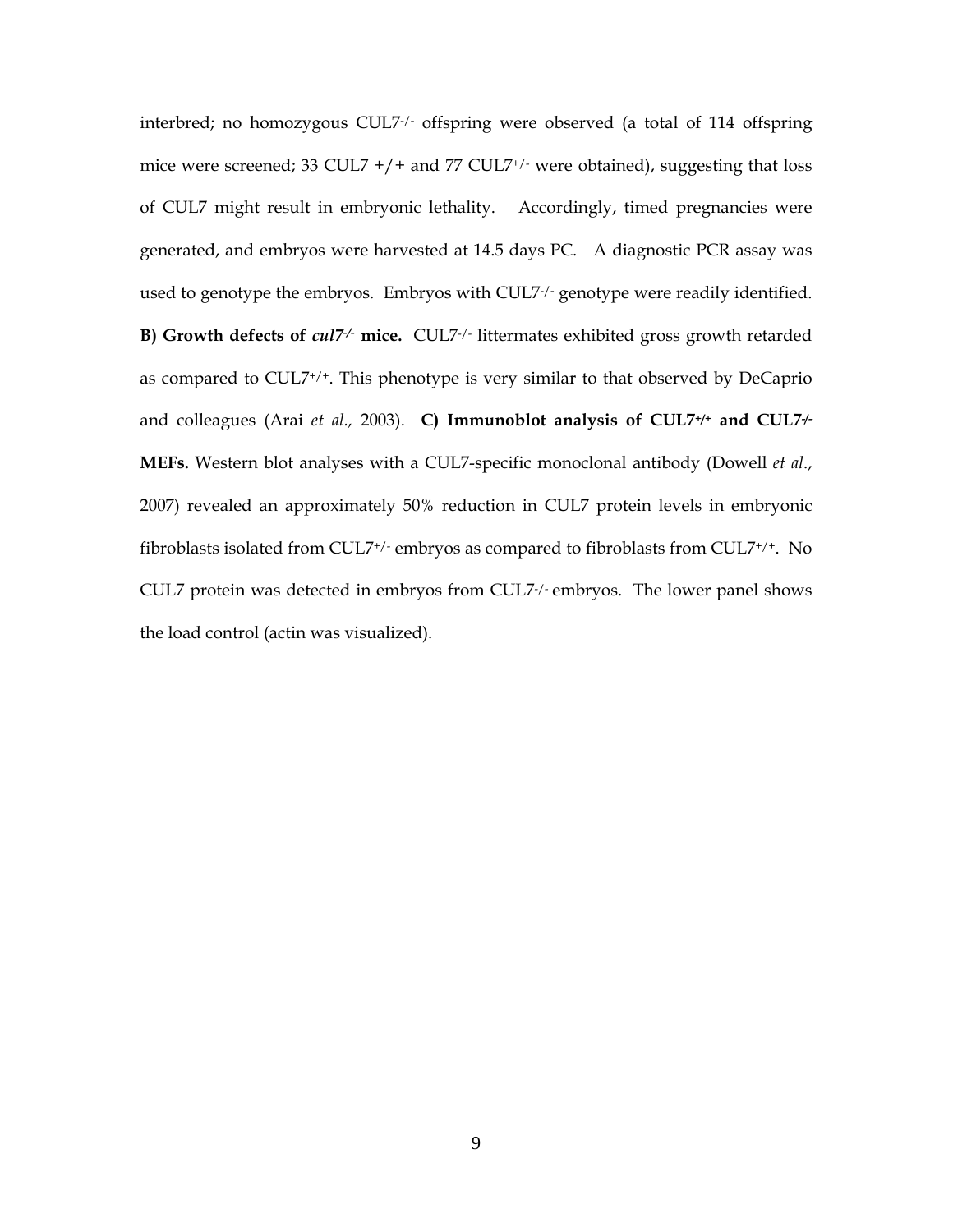interbred; no homozygous CUL7-/- offspring were observed (a total of 114 offspring mice were screened; 33 CUL7  $+/+$  and 77 CUL7<sup>+</sup>/ $\cdot$  were obtained), suggesting that loss of CUL7 might result in embryonic lethality. Accordingly, timed pregnancies were generated, and embryos were harvested at 14.5 days PC. A diagnostic PCR assay was used to genotype the embryos. Embryos with CUL7-/- genotype were readily identified. **B) Growth defects of** *cul7-/-* **mice.** CUL7-/- littermates exhibited gross growth retarded as compared to CUL7+/+. This phenotype is very similar to that observed by DeCaprio and colleagues (Arai *et al.,* 2003). **C) Immunoblot analysis of CUL7+/+ and CUL7-/- MEFs.** Western blot analyses with a CUL7-specific monoclonal antibody (Dowell *et al*., 2007) revealed an approximately 50% reduction in CUL7 protein levels in embryonic fibroblasts isolated from CUL7+/- embryos as compared to fibroblasts from CUL7+/+. No CUL7 protein was detected in embryos from CUL7-/- embryos. The lower panel shows the load control (actin was visualized).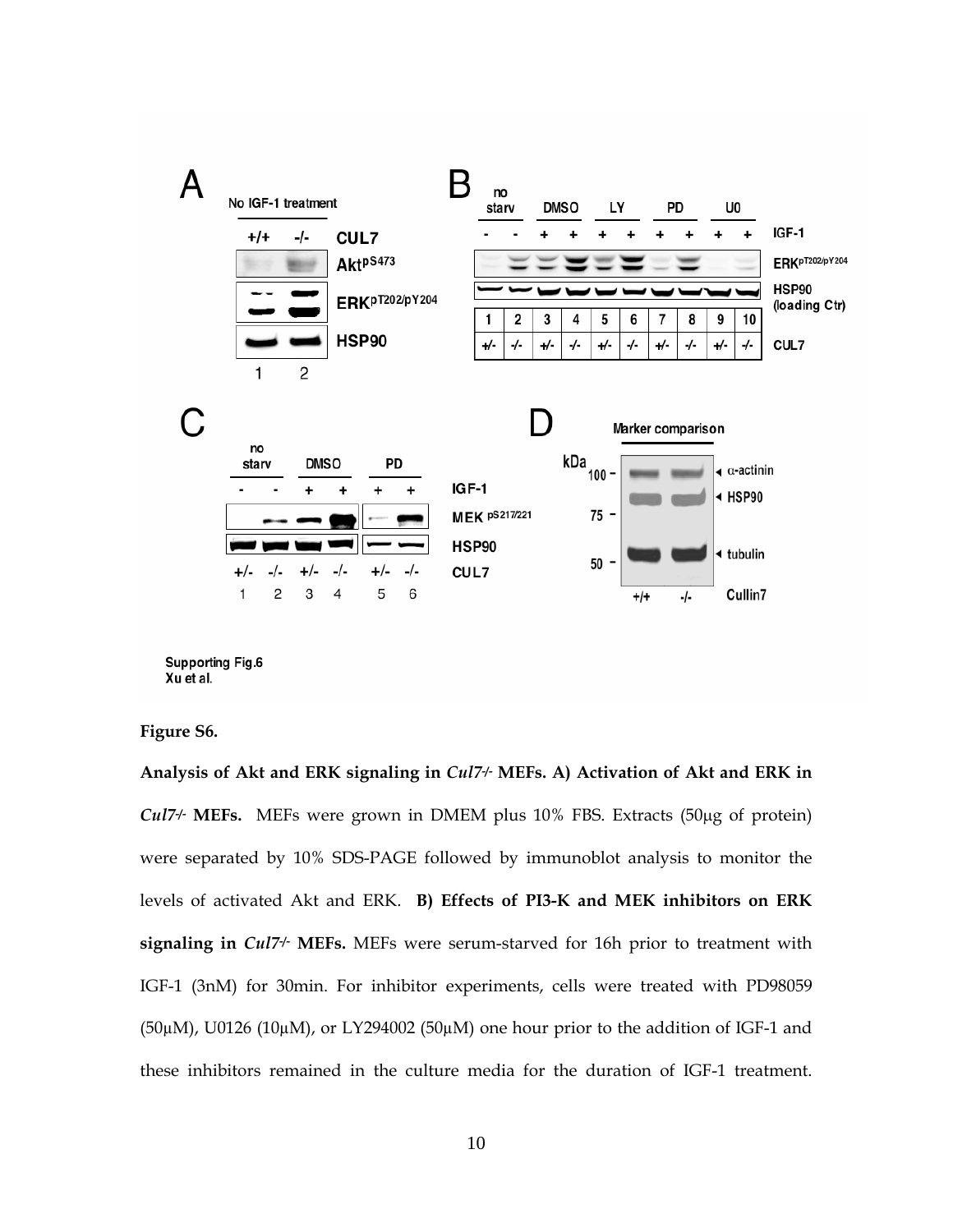

**Supporting Fig.6** Xu et al.

**Figure S6.** 

**Analysis of Akt and ERK signaling in** *Cul7***-/- MEFs. A) Activation of Akt and ERK in**  *Cul7***-/- MEFs.** MEFs were grown in DMEM plus 10% FBS. Extracts (50μg of protein) were separated by 10% SDS-PAGE followed by immunoblot analysis to monitor the levels of activated Akt and ERK. **B) Effects of PI3-K and MEK inhibitors on ERK**  signaling in *Cul7<sup>+</sup>* MEFs. MEFs were serum-starved for 16h prior to treatment with IGF-1 (3nM) for 30min. For inhibitor experiments, cells were treated with PD98059  $(50\mu)$ , U0126  $(10\mu)$ , or LY294002  $(50\mu)$  one hour prior to the addition of IGF-1 and these inhibitors remained in the culture media for the duration of IGF-1 treatment.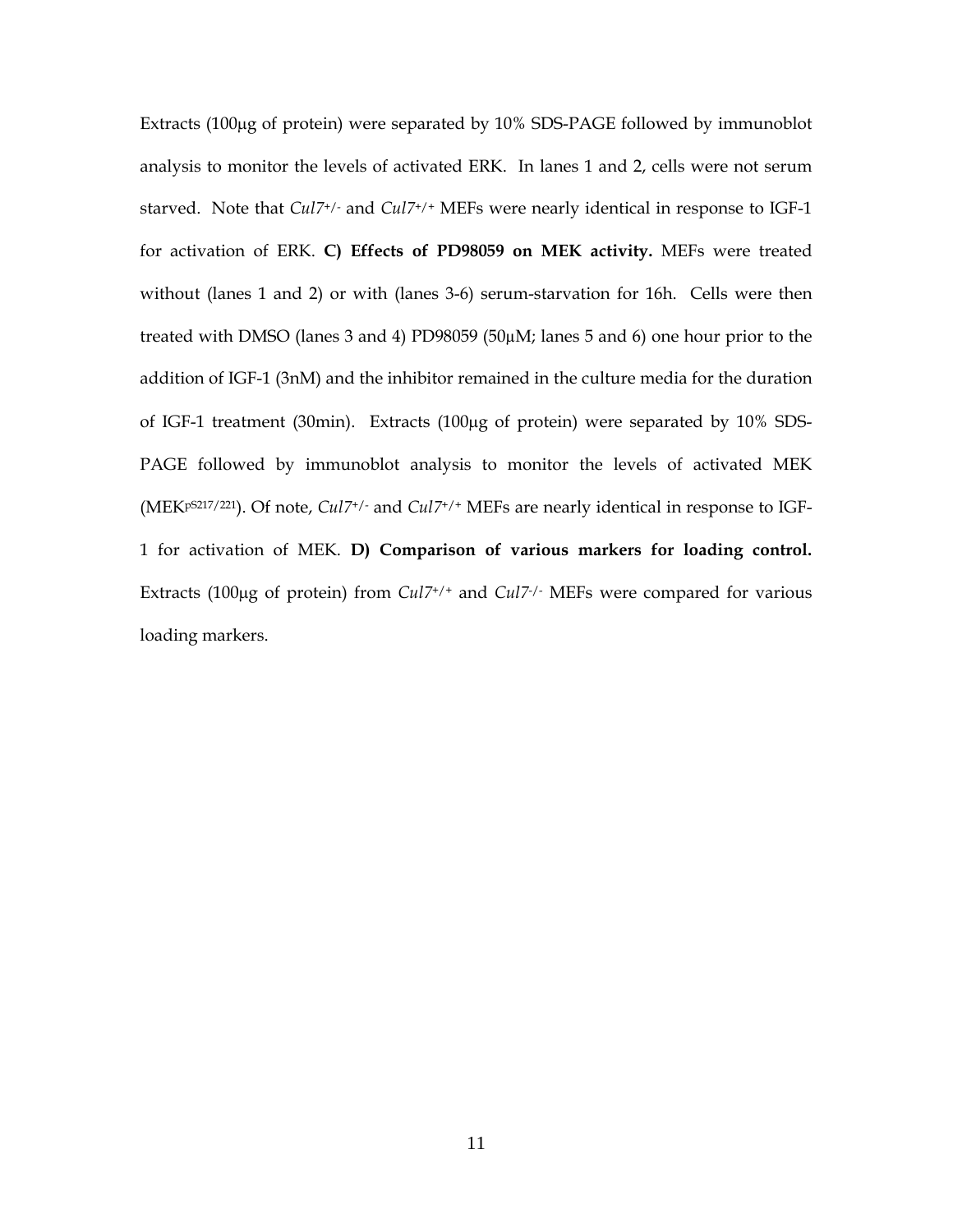Extracts (100μg of protein) were separated by 10% SDS-PAGE followed by immunoblot analysis to monitor the levels of activated ERK. In lanes 1 and 2, cells were not serum starved. Note that *Cul7*+/- and *Cul7*+/+ MEFs were nearly identical in response to IGF-1 for activation of ERK. **C) Effects of PD98059 on MEK activity.** MEFs were treated without (lanes 1 and 2) or with (lanes 3-6) serum-starvation for 16h. Cells were then treated with DMSO (lanes 3 and 4) PD98059 (50µM; lanes 5 and 6) one hour prior to the addition of IGF-1 (3nM) and the inhibitor remained in the culture media for the duration of IGF-1 treatment (30min). Extracts (100μg of protein) were separated by 10% SDS-PAGE followed by immunoblot analysis to monitor the levels of activated MEK (MEKpS217/221). Of note, *Cul7*+/- and *Cul7*+/+ MEFs are nearly identical in response to IGF-1 for activation of MEK. **D) Comparison of various markers for loading control.** Extracts (100μg of protein) from *Cul7*+/+ and *Cul7*-/- MEFs were compared for various loading markers.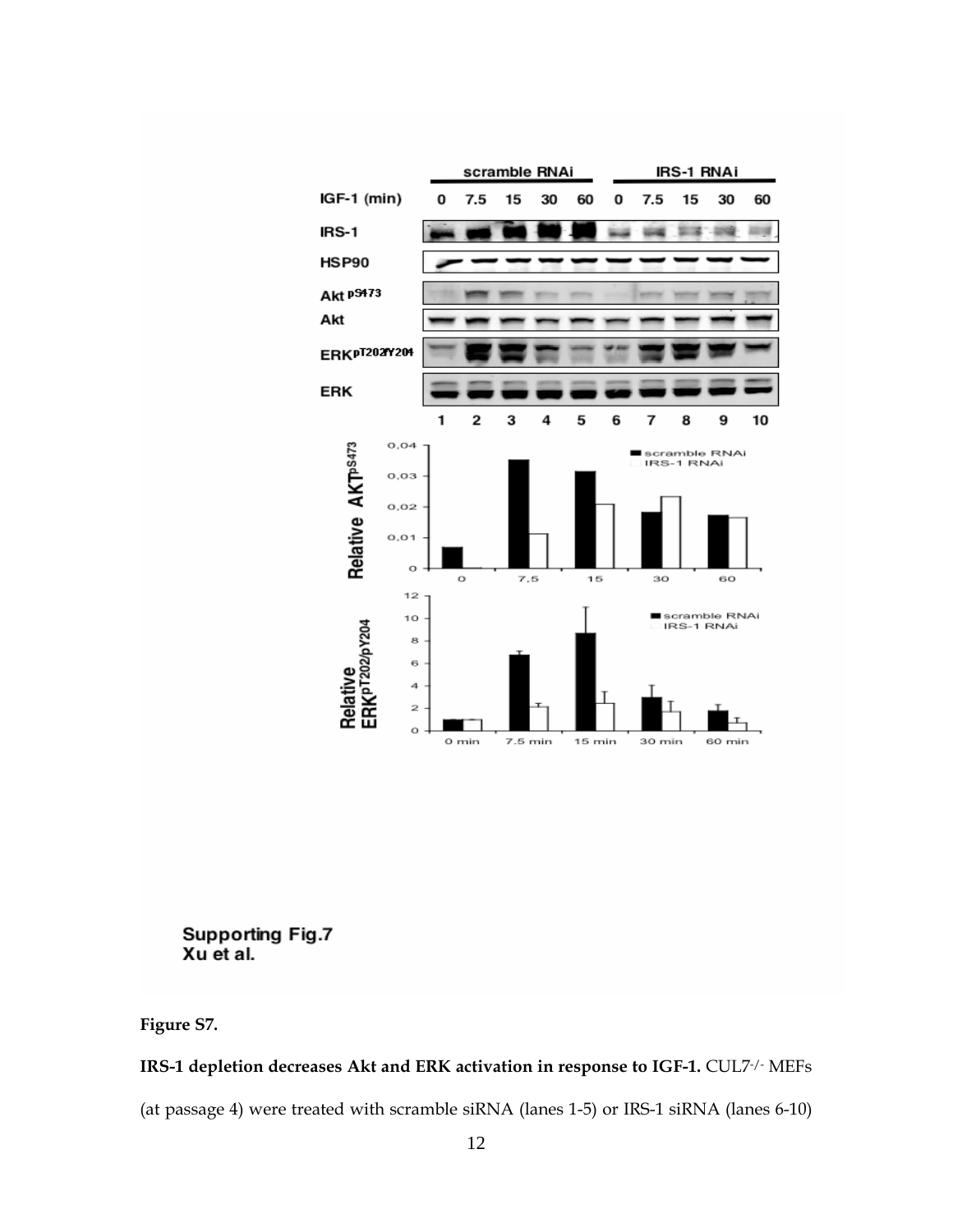

**Supporting Fig.7** Xu et al.

**Figure S7.** 

# **IRS-1 depletion decreases Akt and ERK activation in response to IGF-1.** CUL7-/- MEFs

(at passage 4) were treated with scramble siRNA (lanes 1-5) or IRS-1 siRNA (lanes 6-10)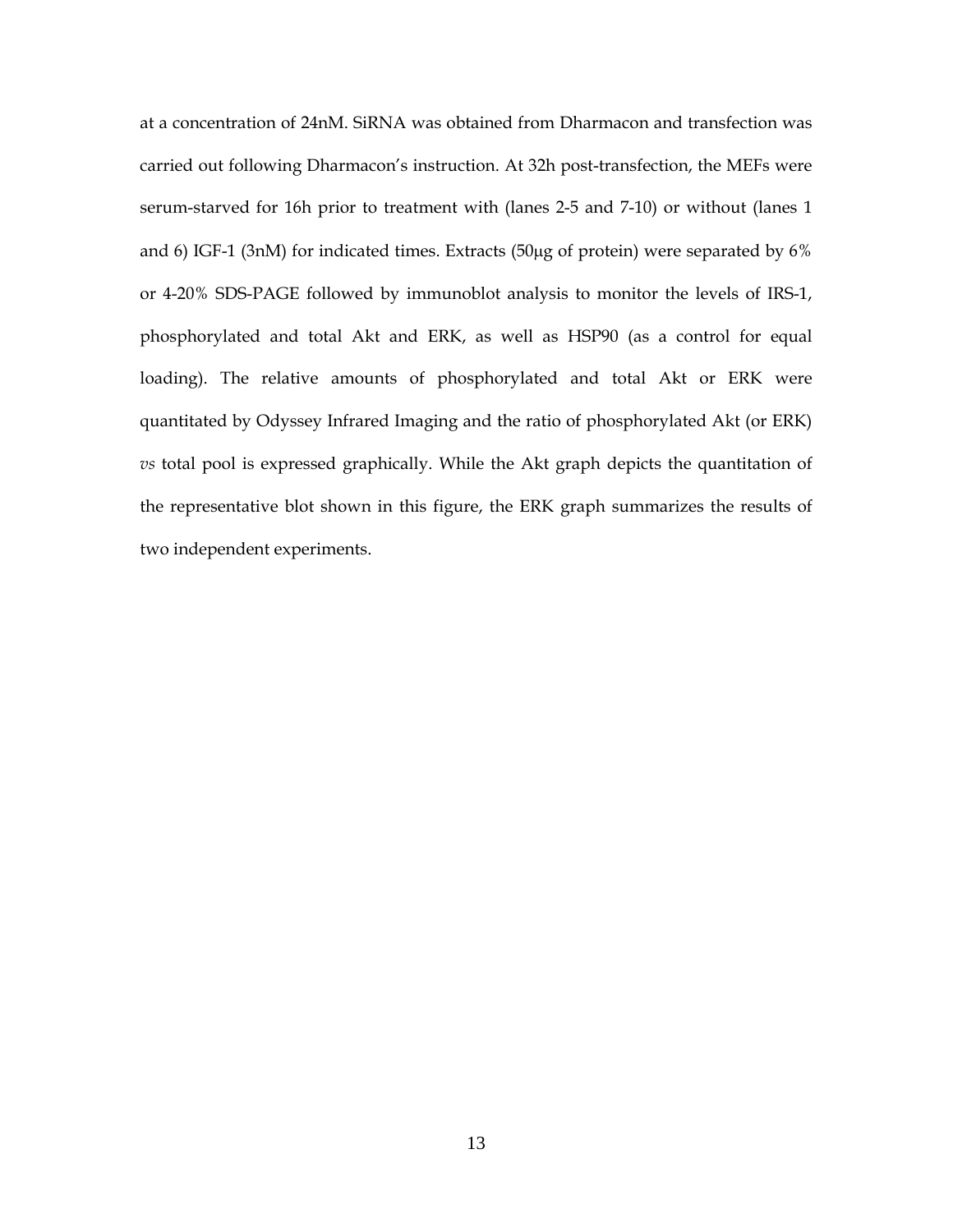at a concentration of 24nM. SiRNA was obtained from Dharmacon and transfection was carried out following Dharmacon's instruction. At 32h post-transfection, the MEFs were serum-starved for 16h prior to treatment with (lanes 2-5 and 7-10) or without (lanes 1 and 6) IGF-1 (3nM) for indicated times. Extracts (50μg of protein) were separated by 6% or 4-20% SDS-PAGE followed by immunoblot analysis to monitor the levels of IRS-1, phosphorylated and total Akt and ERK, as well as HSP90 (as a control for equal loading). The relative amounts of phosphorylated and total Akt or ERK were quantitated by Odyssey Infrared Imaging and the ratio of phosphorylated Akt (or ERK) *vs* total pool is expressed graphically. While the Akt graph depicts the quantitation of the representative blot shown in this figure, the ERK graph summarizes the results of two independent experiments.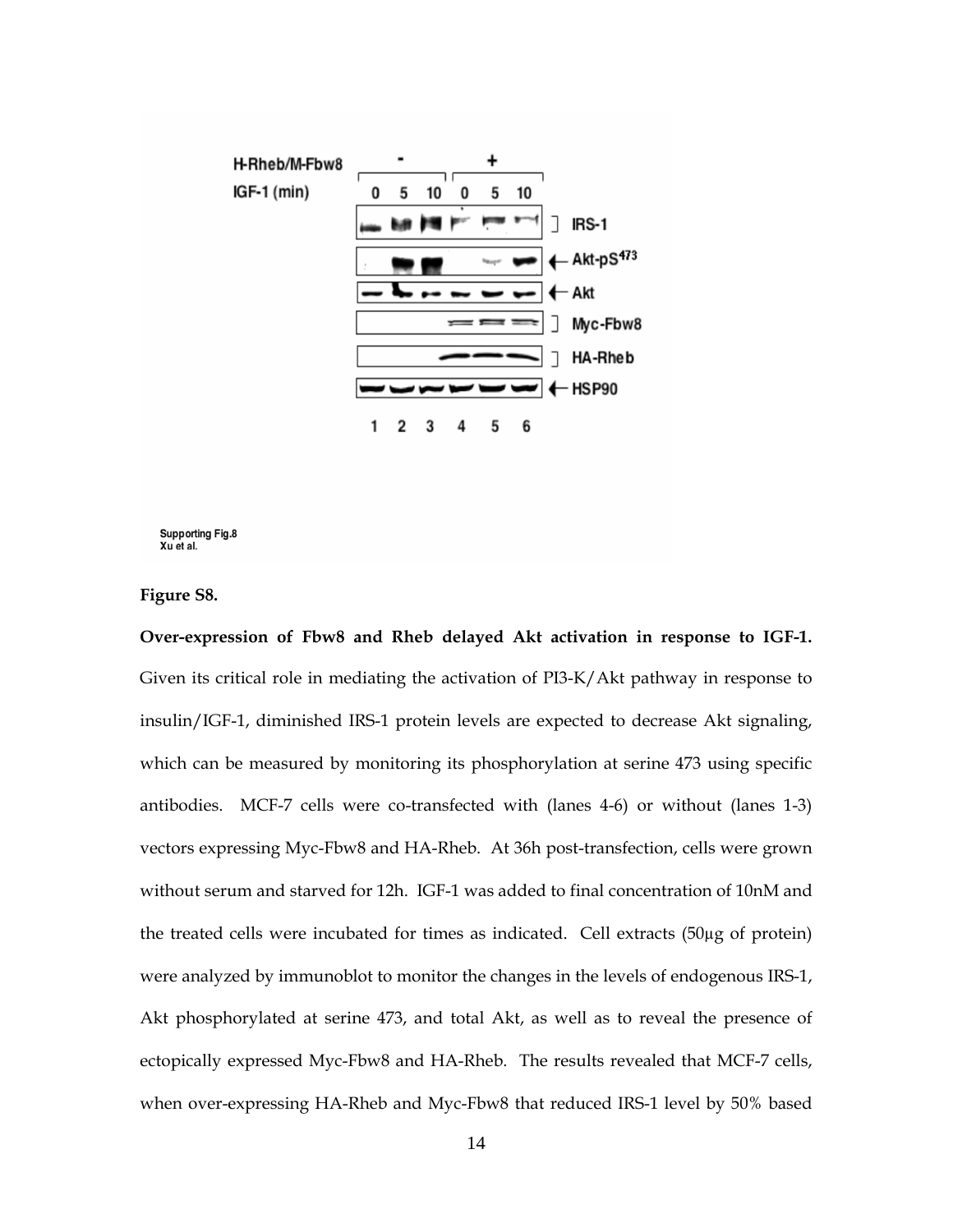

**Supporting Fig.8** Xu et al.

**Figure S8.** 

**Over-expression of Fbw8 and Rheb delayed Akt activation in response to IGF-1.** Given its critical role in mediating the activation of PI3-K/Akt pathway in response to insulin/IGF-1, diminished IRS-1 protein levels are expected to decrease Akt signaling, which can be measured by monitoring its phosphorylation at serine 473 using specific antibodies. MCF-7 cells were co-transfected with (lanes 4-6) or without (lanes 1-3) vectors expressing Myc-Fbw8 and HA-Rheb. At 36h post-transfection, cells were grown without serum and starved for 12h. IGF-1 was added to final concentration of 10nM and the treated cells were incubated for times as indicated. Cell extracts (50µg of protein) were analyzed by immunoblot to monitor the changes in the levels of endogenous IRS-1, Akt phosphorylated at serine 473, and total Akt, as well as to reveal the presence of ectopically expressed Myc-Fbw8 and HA-Rheb. The results revealed that MCF-7 cells, when over-expressing HA-Rheb and Myc-Fbw8 that reduced IRS-1 level by 50% based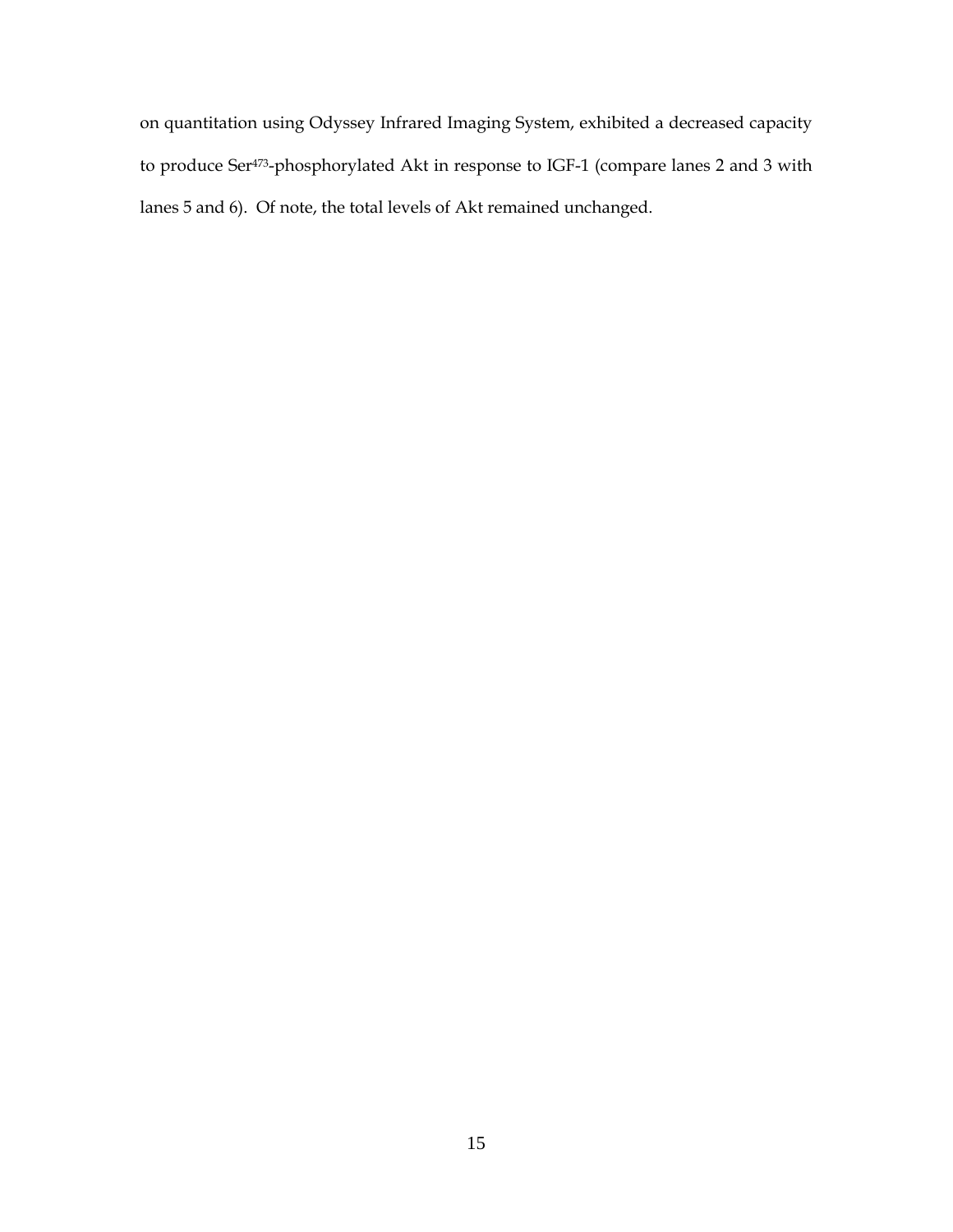on quantitation using Odyssey Infrared Imaging System, exhibited a decreased capacity to produce Ser473-phosphorylated Akt in response to IGF-1 (compare lanes 2 and 3 with lanes 5 and 6). Of note, the total levels of Akt remained unchanged.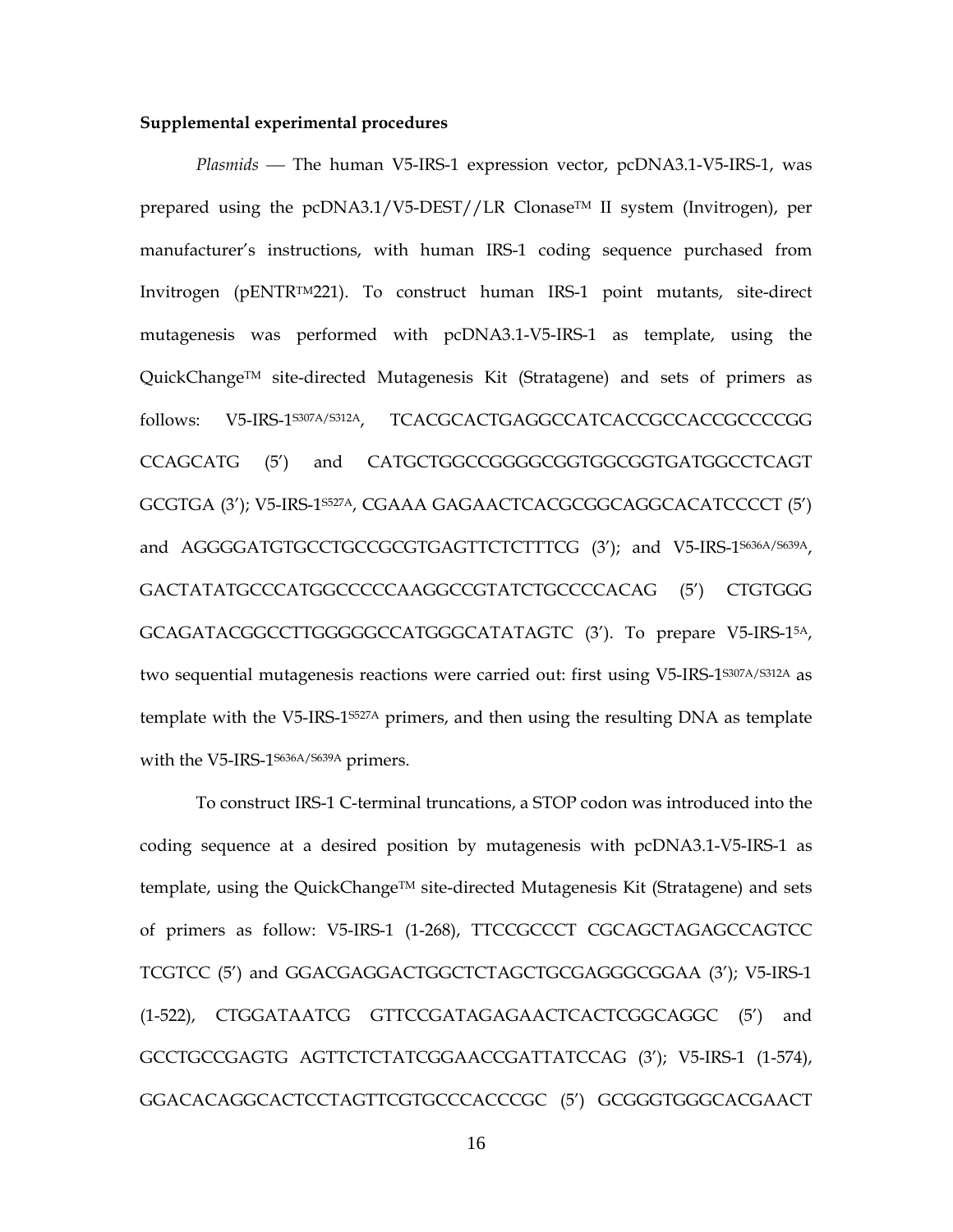#### **Supplemental experimental procedures**

*Plasmids* — The human V5-IRS-1 expression vector, pcDNA3.1-V5-IRS-1, was prepared using the pcDNA3.1/V5-DEST//LR Clonase™ II system (Invitrogen), per manufacturer's instructions, with human IRS-1 coding sequence purchased from Invitrogen (pENTRTM221). To construct human IRS-1 point mutants, site-direct mutagenesis was performed with pcDNA3.1-V5-IRS-1 as template, using the QuickChangeTM site-directed Mutagenesis Kit (Stratagene) and sets of primers as follows: V5-IRS-1S307A/S312A, TCACGCACTGAGGCCATCACCGCCACCGCCCCGG CCAGCATG (5') and CATGCTGGCCGGGGCGGTGGCGGTGATGGCCTCAGT GCGTGA (3'); V5-IRS-1S527A, CGAAA GAGAACTCACGCGGCAGGCACATCCCCT (5') and AGGGGATGTGCCTGCCGCGTGAGTTCTCTTTCG (3'); and V5-IRS-1<sup>5636A/S639A</sup>, GACTATATGCCCATGGCCCCCAAGGCCGTATCTGCCCCACAG (5') CTGTGGG GCAGATACGGCCTTGGGGGCCATGGGCATATAGTC (3'). To prepare V5-IRS-15A, two sequential mutagenesis reactions were carried out: first using V5-IRS-1S307A/S312A as template with the V5-IRS-1S527A primers, and then using the resulting DNA as template with the V5-IRS-1S636A/S639A primers.

To construct IRS-1 C-terminal truncations, a STOP codon was introduced into the coding sequence at a desired position by mutagenesis with pcDNA3.1-V5-IRS-1 as template, using the QuickChange<sup>TM</sup> site-directed Mutagenesis Kit (Stratagene) and sets of primers as follow: V5-IRS-1 (1-268), TTCCGCCCT CGCAGCTAGAGCCAGTCC TCGTCC (5') and GGACGAGGACTGGCTCTAGCTGCGAGGGCGGAA (3'); V5-IRS-1 (1-522), CTGGATAATCG GTTCCGATAGAGAACTCACTCGGCAGGC (5') and GCCTGCCGAGTG AGTTCTCTATCGGAACCGATTATCCAG (3'); V5-IRS-1 (1-574), GGACACAGGCACTCCTAGTTCGTGCCCACCCGC (5') GCGGGTGGGCACGAACT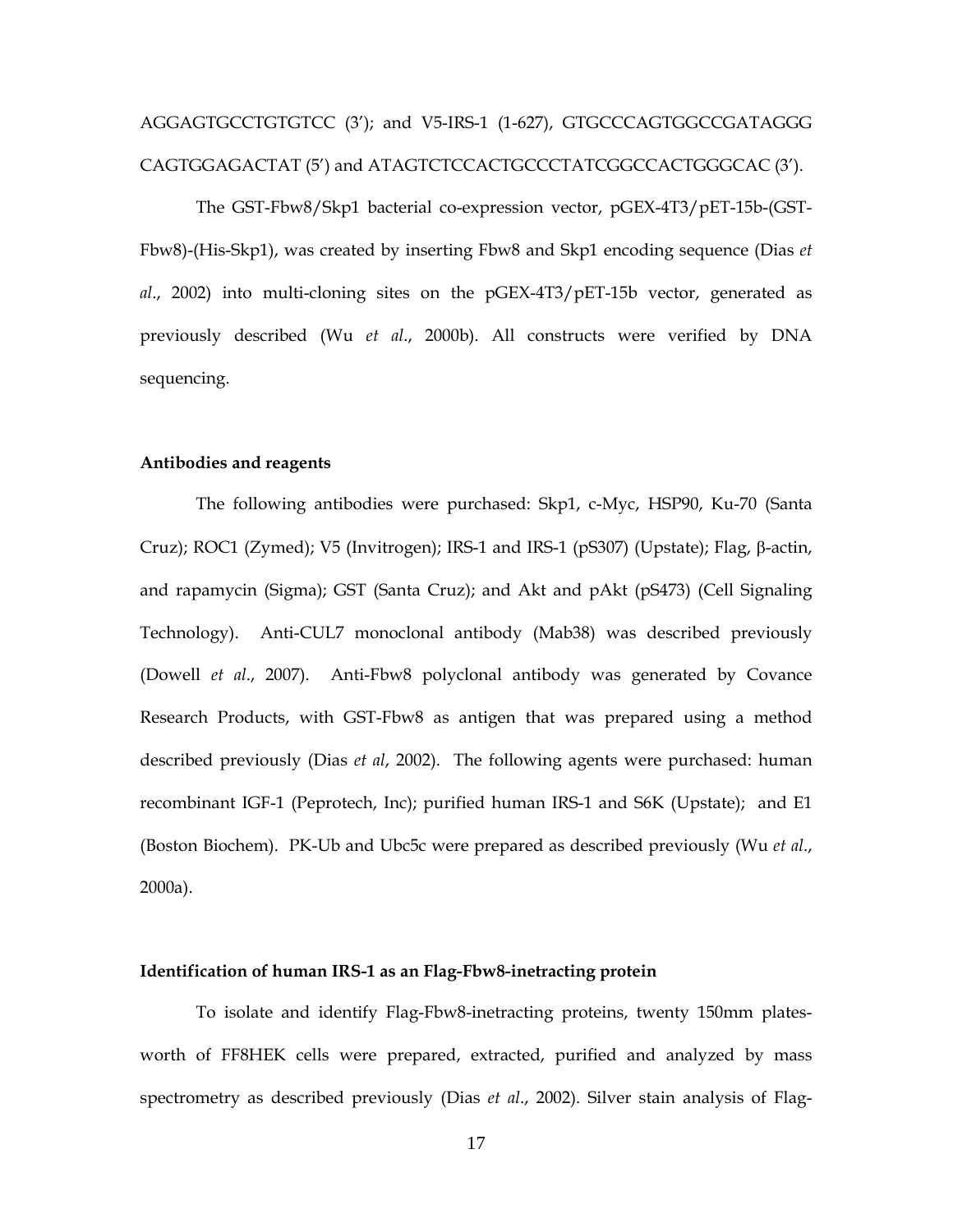# AGGAGTGCCTGTGTCC (3'); and V5-IRS-1 (1-627), GTGCCCAGTGGCCGATAGGG CAGTGGAGACTAT (5') and ATAGTCTCCACTGCCCTATCGGCCACTGGGCAC (3').

The GST-Fbw8/Skp1 bacterial co-expression vector, pGEX-4T3/pET-15b-(GST-Fbw8)-(His-Skp1), was created by inserting Fbw8 and Skp1 encoding sequence (Dias *et al*., 2002) into multi-cloning sites on the pGEX-4T3/pET-15b vector, generated as previously described (Wu *et al*., 2000b). All constructs were verified by DNA sequencing.

## **Antibodies and reagents**

The following antibodies were purchased: Skp1, c-Myc, HSP90, Ku-70 (Santa Cruz); ROC1 (Zymed); V5 (Invitrogen); IRS-1 and IRS-1 (pS307) (Upstate); Flag, β-actin, and rapamycin (Sigma); GST (Santa Cruz); and Akt and pAkt (pS473) (Cell Signaling Technology). Anti-CUL7 monoclonal antibody (Mab38) was described previously (Dowell *et al*., 2007). Anti-Fbw8 polyclonal antibody was generated by Covance Research Products, with GST-Fbw8 as antigen that was prepared using a method described previously (Dias *et al*, 2002). The following agents were purchased: human recombinant IGF-1 (Peprotech, Inc); purified human IRS-1 and S6K (Upstate); and E1 (Boston Biochem). PK-Ub and Ubc5c were prepared as described previously (Wu *et al*., 2000a).

## **Identification of human IRS-1 as an Flag-Fbw8-inetracting protein**

To isolate and identify Flag-Fbw8-inetracting proteins, twenty 150mm platesworth of FF8HEK cells were prepared, extracted, purified and analyzed by mass spectrometry as described previously (Dias *et al*., 2002). Silver stain analysis of Flag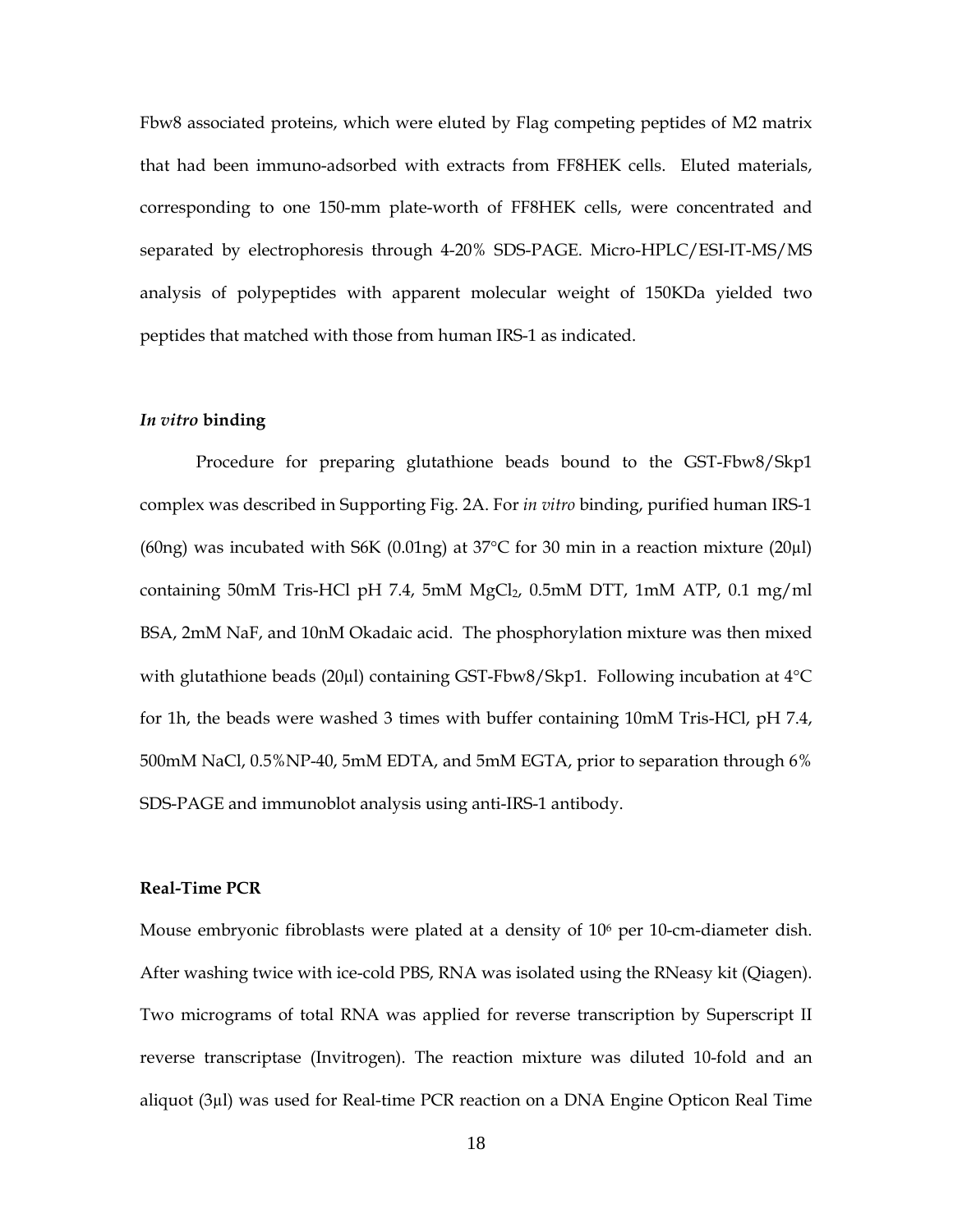Fbw8 associated proteins, which were eluted by Flag competing peptides of M2 matrix that had been immuno-adsorbed with extracts from FF8HEK cells. Eluted materials, corresponding to one 150-mm plate-worth of FF8HEK cells, were concentrated and separated by electrophoresis through 4-20% SDS-PAGE. Micro-HPLC/ESI-IT-MS/MS analysis of polypeptides with apparent molecular weight of 150KDa yielded two peptides that matched with those from human IRS-1 as indicated.

## *In vitro* **binding**

Procedure for preparing glutathione beads bound to the GST-Fbw8/Skp1 complex was described in Supporting Fig. 2A. For *in vitro* binding, purified human IRS-1 (60ng) was incubated with S6K (0.01ng) at  $37^{\circ}$ C for 30 min in a reaction mixture (20µl) containing 50mM Tris-HCl pH 7.4, 5mM  $MgCl<sub>2</sub>$ , 0.5mM DTT, 1mM ATP, 0.1 mg/ml BSA, 2mM NaF, and 10nM Okadaic acid. The phosphorylation mixture was then mixed with glutathione beads (20µl) containing GST-Fbw8/Skp1. Following incubation at 4°C for 1h, the beads were washed 3 times with buffer containing 10mM Tris-HCl, pH 7.4, 500mM NaCl, 0.5%NP-40, 5mM EDTA, and 5mM EGTA, prior to separation through 6% SDS-PAGE and immunoblot analysis using anti-IRS-1 antibody.

#### **Real-Time PCR**

Mouse embryonic fibroblasts were plated at a density of 106 per 10-cm-diameter dish. After washing twice with ice-cold PBS, RNA was isolated using the RNeasy kit (Qiagen). Two micrograms of total RNA was applied for reverse transcription by Superscript II reverse transcriptase (Invitrogen). The reaction mixture was diluted 10-fold and an aliquot (3µl) was used for Real-time PCR reaction on a DNA Engine Opticon Real Time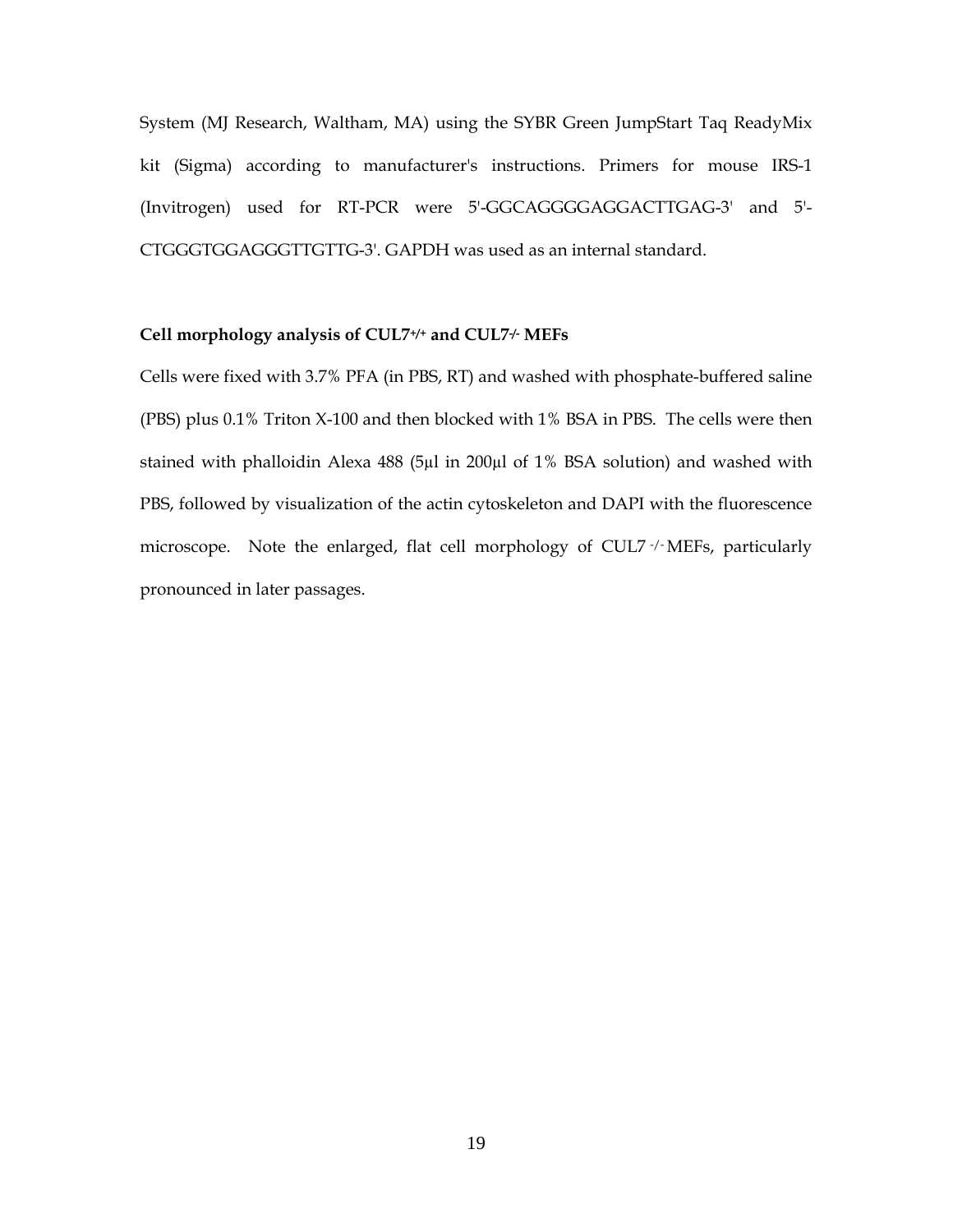System (MJ Research, Waltham, MA) using the SYBR Green JumpStart Taq ReadyMix kit (Sigma) according to manufacturer's instructions. Primers for mouse IRS-1 (Invitrogen) used for RT-PCR were 5'-GGCAGGGGAGGACTTGAG-3' and 5'- CTGGGTGGAGGGTTGTTG-3'. GAPDH was used as an internal standard.

## **Cell morphology analysis of CUL7+/+ and CUL7-/- MEFs**

Cells were fixed with 3.7% PFA (in PBS, RT) and washed with phosphate-buffered saline (PBS) plus 0.1% Triton X-100 and then blocked with 1% BSA in PBS. The cells were then stained with phalloidin Alexa 488 (5µl in 200µl of 1% BSA solution) and washed with PBS, followed by visualization of the actin cytoskeleton and DAPI with the fluorescence microscope. Note the enlarged, flat cell morphology of CUL7 -/-MEFs, particularly pronounced in later passages.